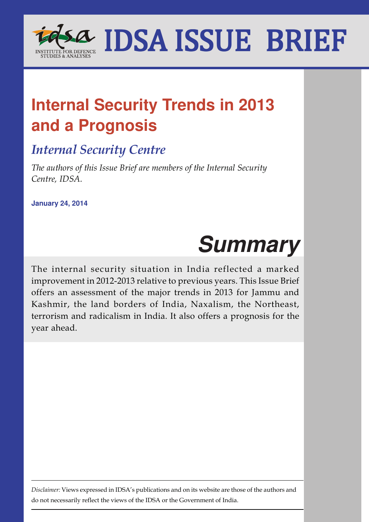

# **Internal Security Trends in 2013 and a Prognosis**

# *Internal Security Centre*

*The authors of this Issue Brief are members of the Internal Security Centre, IDSA.*

**January 24, 2014**

# **Summary**

The internal security situation in India reflected a marked improvement in 2012-2013 relative to previous years. This Issue Brief offers an assessment of the major trends in 2013 for Jammu and Kashmir, the land borders of India, Naxalism, the Northeast, terrorism and radicalism in India. It also offers a prognosis for the year ahead.

*Disclaimer:* Views expressed in IDSA's publications and on its website are those of the authors and do not necessarily reflect the views of the IDSA or the Government of India.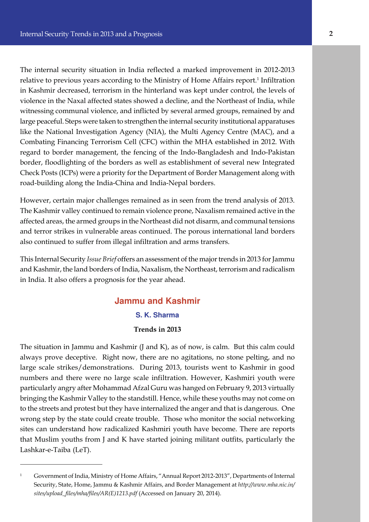The internal security situation in India reflected a marked improvement in 2012-2013 relative to previous years according to the Ministry of Home Affairs report.<sup>1</sup> Infiltration in Kashmir decreased, terrorism in the hinterland was kept under control, the levels of violence in the Naxal affected states showed a decline, and the Northeast of India, while witnessing communal violence, and inflicted by several armed groups, remained by and large peaceful. Steps were taken to strengthen the internal security institutional apparatuses like the National Investigation Agency (NIA), the Multi Agency Centre (MAC), and a Combating Financing Terrorism Cell (CFC) within the MHA established in 2012. With regard to border management, the fencing of the Indo-Bangladesh and Indo-Pakistan border, floodlighting of the borders as well as establishment of several new Integrated Check Posts (ICPs) were a priority for the Department of Border Management along with road-building along the India-China and India-Nepal borders.

However, certain major challenges remained as in seen from the trend analysis of 2013. The Kashmir valley continued to remain violence prone, Naxalism remained active in the affected areas, the armed groups in the Northeast did not disarm, and communal tensions and terror strikes in vulnerable areas continued. The porous international land borders also continued to suffer from illegal infiltration and arms transfers.

This Internal Security *Issue Brief* offers an assessment of the major trends in 2013 for Jammu and Kashmir, the land borders of India, Naxalism, the Northeast, terrorism and radicalism in India. It also offers a prognosis for the year ahead.

## **Jammu and Kashmir S. K. Sharma Trends in 2013**

The situation in Jammu and Kashmir (J and K), as of now, is calm. But this calm could always prove deceptive. Right now, there are no agitations, no stone pelting, and no large scale strikes/demonstrations. During 2013, tourists went to Kashmir in good numbers and there were no large scale infiltration. However, Kashmiri youth were particularly angry after Mohammad Afzal Guru was hanged on February 9, 2013 virtually bringing the Kashmir Valley to the standstill. Hence, while these youths may not come on to the streets and protest but they have internalized the anger and that is dangerous. One wrong step by the state could create trouble. Those who monitor the social networking sites can understand how radicalized Kashmiri youth have become. There are reports that Muslim youths from J and K have started joining militant outfits, particularly the Lashkar-e-Taiba (LeT).

<sup>1</sup> Government of India, Ministry of Home Affairs, "Annual Report 2012-2013", Departments of Internal Security, State, Home, Jammu & Kashmir Affairs, and Border Management at *http://www.mha.nic.in/ sites/upload\_files/mha/files/AR(E)1213.pdf* (Accessed on January 20, 2014).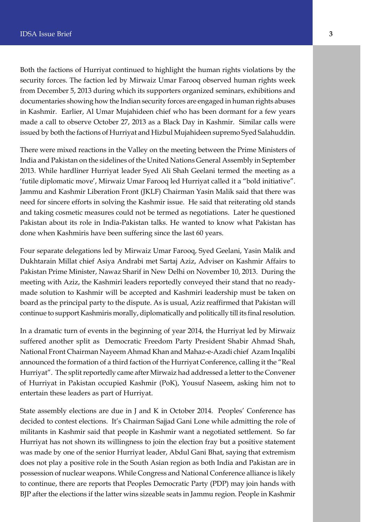Both the factions of Hurriyat continued to highlight the human rights violations by the security forces. The faction led by Mirwaiz Umar Farooq observed human rights week from December 5, 2013 during which its supporters organized seminars, exhibitions and documentaries showing how the Indian security forces are engaged in human rights abuses in Kashmir. Earlier, Al Umar Mujahideen chief who has been dormant for a few years made a call to observe October 27, 2013 as a Black Day in Kashmir. Similar calls were issued by both the factions of Hurriyat and Hizbul Mujahideen supremo Syed Salahuddin.

There were mixed reactions in the Valley on the meeting between the Prime Ministers of India and Pakistan on the sidelines of the United Nations General Assembly in September 2013. While hardliner Hurriyat leader Syed Ali Shah Geelani termed the meeting as a 'futile diplomatic move', Mirwaiz Umar Farooq led Hurriyat called it a "bold initiative". Jammu and Kashmir Liberation Front (JKLF) Chairman Yasin Malik said that there was need for sincere efforts in solving the Kashmir issue. He said that reiterating old stands and taking cosmetic measures could not be termed as negotiations. Later he questioned Pakistan about its role in India-Pakistan talks. He wanted to know what Pakistan has done when Kashmiris have been suffering since the last 60 years.

Four separate delegations led by Mirwaiz Umar Farooq, Syed Geelani, Yasin Malik and Dukhtarain Millat chief Asiya Andrabi met Sartaj Aziz, Adviser on Kashmir Affairs to Pakistan Prime Minister, Nawaz Sharif in New Delhi on November 10, 2013. During the meeting with Aziz, the Kashmiri leaders reportedly conveyed their stand that no readymade solution to Kashmir will be accepted and Kashmiri leadership must be taken on board as the principal party to the dispute. As is usual, Aziz reaffirmed that Pakistan will continue to support Kashmiris morally, diplomatically and politically till its final resolution.

In a dramatic turn of events in the beginning of year 2014, the Hurriyat led by Mirwaiz suffered another split as Democratic Freedom Party President Shabir Ahmad Shah, National Front Chairman Nayeem Ahmad Khan and Mahaz-e-Azadi chief Azam Inqalibi announced the formation of a third faction of the Hurriyat Conference, calling it the "Real Hurriyat". The split reportedly came after Mirwaiz had addressed a letter to the Convener of Hurriyat in Pakistan occupied Kashmir (PoK), Yousuf Naseem, asking him not to entertain these leaders as part of Hurriyat.

State assembly elections are due in J and K in October 2014. Peoples' Conference has decided to contest elections. It's Chairman Sajjad Gani Lone while admitting the role of militants in Kashmir said that people in Kashmir want a negotiated settlement. So far Hurriyat has not shown its willingness to join the election fray but a positive statement was made by one of the senior Hurriyat leader, Abdul Gani Bhat, saying that extremism does not play a positive role in the South Asian region as both India and Pakistan are in possession of nuclear weapons. While Congress and National Conference alliance is likely to continue, there are reports that Peoples Democratic Party (PDP) may join hands with BJP after the elections if the latter wins sizeable seats in Jammu region. People in Kashmir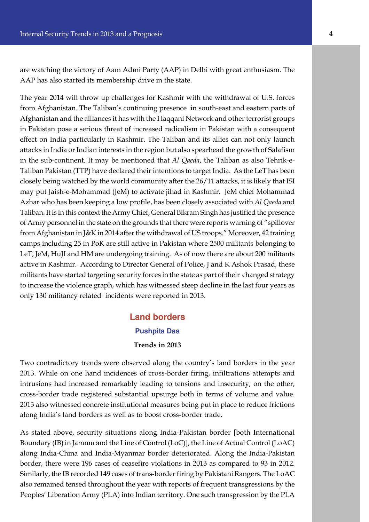are watching the victory of Aam Admi Party (AAP) in Delhi with great enthusiasm. The AAP has also started its membership drive in the state.

The year 2014 will throw up challenges for Kashmir with the withdrawal of U.S. forces from Afghanistan. The Taliban's continuing presence in south-east and eastern parts of Afghanistan and the alliances it has with the Haqqani Network and other terrorist groups in Pakistan pose a serious threat of increased radicalism in Pakistan with a consequent effect on India particularly in Kashmir. The Taliban and its allies can not only launch attacks in India or Indian interests in the region but also spearhead the growth of Salafism in the sub-continent. It may be mentioned that *Al Qaeda*, the Taliban as also Tehrik-e-Taliban Pakistan (TTP) have declared their intentions to target India. As the LeT has been closely being watched by the world community after the 26/11 attacks, it is likely that ISI may put Jaish-e-Mohammad (JeM) to activate jihad in Kashmir. JeM chief Mohammad Azhar who has been keeping a low profile, has been closely associated with *Al Qaeda* and Taliban. It is in this context the Army Chief, General Bikram Singh has justified the presence of Army personnel in the state on the grounds that there were reports warning of "spillover from Afghanistan in J&K in 2014 after the withdrawal of US troops." Moreover, 42 training camps including 25 in PoK are still active in Pakistan where 2500 militants belonging to LeT, JeM, HuJI and HM are undergoing training. As of now there are about 200 militants active in Kashmir. According to Director General of Police, J and K Ashok Prasad, these militants have started targeting security forces in the state as part of their changed strategy to increase the violence graph, which has witnessed steep decline in the last four years as only 130 militancy related incidents were reported in 2013.

## **Land borders Pushpita Das Trends in 2013**

Two contradictory trends were observed along the country's land borders in the year 2013. While on one hand incidences of cross-border firing, infiltrations attempts and intrusions had increased remarkably leading to tensions and insecurity, on the other, cross-border trade registered substantial upsurge both in terms of volume and value. 2013 also witnessed concrete institutional measures being put in place to reduce frictions along India's land borders as well as to boost cross-border trade.

As stated above, security situations along India-Pakistan border [both International Boundary (IB) in Jammu and the Line of Control (LoC)], the Line of Actual Control (LoAC) along India-China and India-Myanmar border deteriorated. Along the India-Pakistan border, there were 196 cases of ceasefire violations in 2013 as compared to 93 in 2012. Similarly, the IB recorded 149 cases of trans-border firing by Pakistani Rangers. The LoAC also remained tensed throughout the year with reports of frequent transgressions by the Peoples' Liberation Army (PLA) into Indian territory. One such transgression by the PLA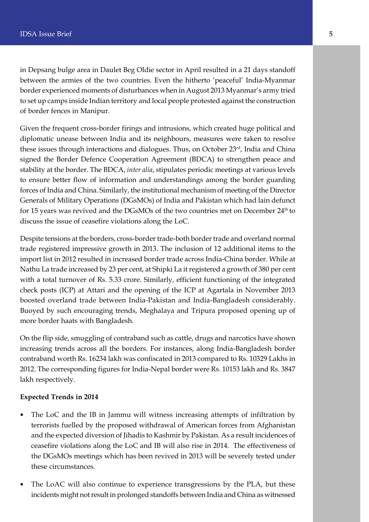in Depsang bulge area in Daulet Beg Oldie sector in April resulted in a 21 days standoff between the armies of the two countries. Even the hitherto 'peaceful' India-Myanmar border experienced moments of disturbances when in August 2013 Myanmar's army tried to set up camps inside Indian territory and local people protested against the construction of border fences in Manipur.

Given the frequent cross-border firings and intrusions, which created huge political and diplomatic unease between India and its neighbours, measures were taken to resolve these issues through interactions and dialogues. Thus, on October 23rd, India and China signed the Border Defence Cooperation Agreement (BDCA) to strengthen peace and stability at the border. The BDCA, *inter alia*, stipulates periodic meetings at various levels to ensure better flow of information and understandings among the border guarding forces of India and China. Similarly, the institutional mechanism of meeting of the Director Generals of Military Operations (DGsMOs) of India and Pakistan which had lain defunct for 15 years was revived and the DGsMOs of the two countries met on December 24<sup>th</sup> to discuss the issue of ceasefire violations along the LoC.

Despite tensions at the borders, cross-border trade-both border trade and overland normal trade registered impressive growth in 2013. The inclusion of 12 additional items to the import list in 2012 resulted in increased border trade across India-China border. While at Nathu La trade increased by 23 per cent, at Shipki La it registered a growth of 380 per cent with a total turnover of Rs. 5.33 crore. Similarly, efficient functioning of the integrated check posts (ICP) at Attari and the opening of the ICP at Agartala in November 2013 boosted overland trade between India-Pakistan and India-Bangladesh considerably. Buoyed by such encouraging trends, Meghalaya and Tripura proposed opening up of more border haats with Bangladesh.

On the flip side, smuggling of contraband such as cattle, drugs and narcotics have shown increasing trends across all the borders. For instances, along India-Bangladesh border contraband worth Rs. 16234 lakh was confiscated in 2013 compared to Rs. 10329 Lakhs in 2012. The corresponding figures for India-Nepal border were Rs. 10153 lakh and Rs. 3847 lakh respectively.

#### **Expected Trends in 2014**

- The LoC and the IB in Jammu will witness increasing attempts of infiltration by terrorists fuelled by the proposed withdrawal of American forces from Afghanistan and the expected diversion of Jihadis to Kashmir by Pakistan. As a result incidences of ceasefire violations along the LoC and IB will also rise in 2014. The effectiveness of the DGsMOs meetings which has been revived in 2013 will be severely tested under these circumstances.
- The LoAC will also continue to experience transgressions by the PLA, but these incidents might not result in prolonged standoffs between India and China as witnessed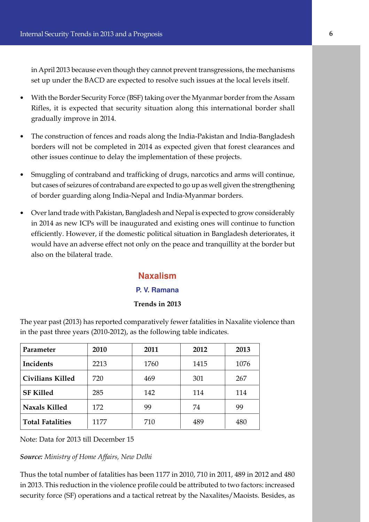in April 2013 because even though they cannot prevent transgressions, the mechanisms set up under the BACD are expected to resolve such issues at the local levels itself.

- With the Border Security Force (BSF) taking over the Myanmar border from the Assam Rifles, it is expected that security situation along this international border shall gradually improve in 2014.
- The construction of fences and roads along the India-Pakistan and India-Bangladesh borders will not be completed in 2014 as expected given that forest clearances and other issues continue to delay the implementation of these projects.
- Smuggling of contraband and trafficking of drugs, narcotics and arms will continue, but cases of seizures of contraband are expected to go up as well given the strengthening of border guarding along India-Nepal and India-Myanmar borders.
- Over land trade with Pakistan, Bangladesh and Nepal is expected to grow considerably in 2014 as new ICPs will be inaugurated and existing ones will continue to function efficiently. However, if the domestic political situation in Bangladesh deteriorates, it would have an adverse effect not only on the peace and tranquillity at the border but also on the bilateral trade.

#### **Naxalism**

#### **P. V. Ramana**

#### **Trends in 2013**

The year past (2013) has reported comparatively fewer fatalities in Naxalite violence than in the past three years (2010-2012), as the following table indicates.

| Parameter               | 2010 | 2011 | 2012 | 2013 |
|-------------------------|------|------|------|------|
| Incidents               | 2213 | 1760 | 1415 | 1076 |
| <b>Civilians Killed</b> | 720  | 469  | 301  | 267  |
| <b>SF Killed</b>        | 285  | 142  | 114  | 114  |
| <b>Naxals Killed</b>    | 172  | 99   | 74   | 99   |
| <b>Total Fatalities</b> | 1177 | 710  | 489  | 480  |

Note: Data for 2013 till December 15

*Source: Ministry of Home Affairs, New Delhi*

Thus the total number of fatalities has been 1177 in 2010, 710 in 2011, 489 in 2012 and 480 in 2013. This reduction in the violence profile could be attributed to two factors: increased security force (SF) operations and a tactical retreat by the Naxalites/Maoists. Besides, as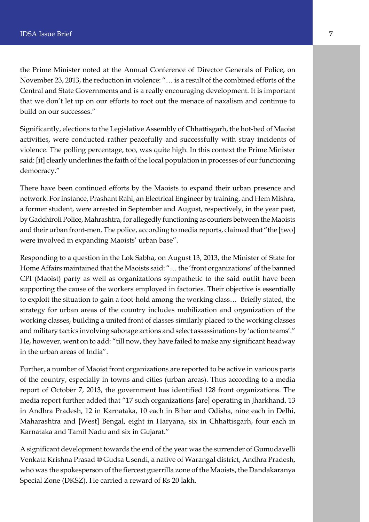the Prime Minister noted at the Annual Conference of Director Generals of Police, on November 23, 2013, the reduction in violence: "… is a result of the combined efforts of the Central and State Governments and is a really encouraging development. It is important that we don't let up on our efforts to root out the menace of naxalism and continue to build on our successes."

Significantly, elections to the Legislative Assembly of Chhattisgarh, the hot-bed of Maoist activities, were conducted rather peacefully and successfully with stray incidents of violence. The polling percentage, too, was quite high. In this context the Prime Minister said: [it] clearly underlines the faith of the local population in processes of our functioning democracy."

There have been continued efforts by the Maoists to expand their urban presence and network. For instance, Prashant Rahi, an Electrical Engineer by training, and Hem Mishra, a former student, were arrested in September and August, respectively, in the year past, by Gadchiroli Police, Mahrashtra, for allegedly functioning as couriers between the Maoists and their urban front-men. The police, according to media reports, claimed that "the [two] were involved in expanding Maoists' urban base".

Responding to a question in the Lok Sabha, on August 13, 2013, the Minister of State for Home Affairs maintained that the Maoists said: "… the 'front organizations' of the banned CPI (Maoist) party as well as organizations sympathetic to the said outfit have been supporting the cause of the workers employed in factories. Their objective is essentially to exploit the situation to gain a foot-hold among the working class… Briefly stated, the strategy for urban areas of the country includes mobilization and organization of the working classes, building a united front of classes similarly placed to the working classes and military tactics involving sabotage actions and select assassinations by 'action teams'." He, however, went on to add: "till now, they have failed to make any significant headway in the urban areas of India".

Further, a number of Maoist front organizations are reported to be active in various parts of the country, especially in towns and cities (urban areas). Thus according to a media report of October 7, 2013, the government has identified 128 front organizations. The media report further added that "17 such organizations [are] operating in Jharkhand, 13 in Andhra Pradesh, 12 in Karnataka, 10 each in Bihar and Odisha, nine each in Delhi, Maharashtra and [West] Bengal, eight in Haryana, six in Chhattisgarh, four each in Karnataka and Tamil Nadu and six in Gujarat."

A significant development towards the end of the year was the surrender of Gumudavelli Venkata Krishna Prasad @ Gudsa Usendi, a native of Warangal district, Andhra Pradesh, who was the spokesperson of the fiercest guerrilla zone of the Maoists, the Dandakaranya Special Zone (DKSZ). He carried a reward of Rs 20 lakh.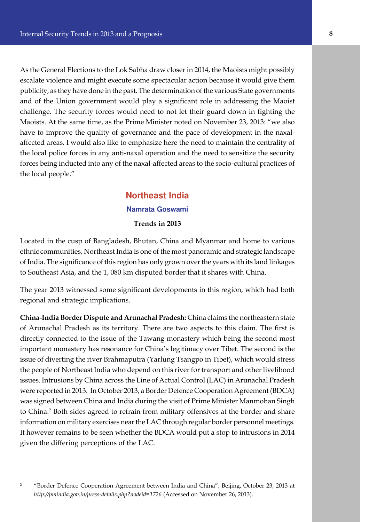As the General Elections to the Lok Sabha draw closer in 2014, the Maoists might possibly escalate violence and might execute some spectacular action because it would give them publicity, as they have done in the past. The determination of the various State governments and of the Union government would play a significant role in addressing the Maoist challenge. The security forces would need to not let their guard down in fighting the Maoists. At the same time, as the Prime Minister noted on November 23, 2013: "we also have to improve the quality of governance and the pace of development in the naxalaffected areas. I would also like to emphasize here the need to maintain the centrality of the local police forces in any anti-naxal operation and the need to sensitize the security forces being inducted into any of the naxal-affected areas to the socio-cultural practices of the local people."

### **Northeast India Namrata Goswami Trends in 2013**

Located in the cusp of Bangladesh, Bhutan, China and Myanmar and home to various ethnic communities, Northeast India is one of the most panoramic and strategic landscape of India. The significance of this region has only grown over the years with its land linkages to Southeast Asia, and the 1, 080 km disputed border that it shares with China.

The year 2013 witnessed some significant developments in this region, which had both regional and strategic implications.

**China-India Border Dispute and Arunachal Pradesh:** China claims the northeastern state of Arunachal Pradesh as its territory. There are two aspects to this claim. The first is directly connected to the issue of the Tawang monastery which being the second most important monastery has resonance for China's legitimacy over Tibet. The second is the issue of diverting the river Brahmaputra (Yarlung Tsangpo in Tibet), which would stress the people of Northeast India who depend on this river for transport and other livelihood issues. Intrusions by China across the Line of Actual Control (LAC) in Arunachal Pradesh were reported in 2013. In October 2013, a Border Defence Cooperation Agreement (BDCA) was signed between China and India during the visit of Prime Minister Manmohan Singh to China.<sup>2</sup> Both sides agreed to refrain from military offensives at the border and share information on military exercises near the LAC through regular border personnel meetings. It however remains to be seen whether the BDCA would put a stop to intrusions in 2014 given the differing perceptions of the LAC.

<sup>2</sup> "Border Defence Cooperation Agreement between India and China", Beijing, October 23, 2013 at *http://pmindia.gov.in/press-details.php?nodeid=1726* (Accessed on November 26, 2013).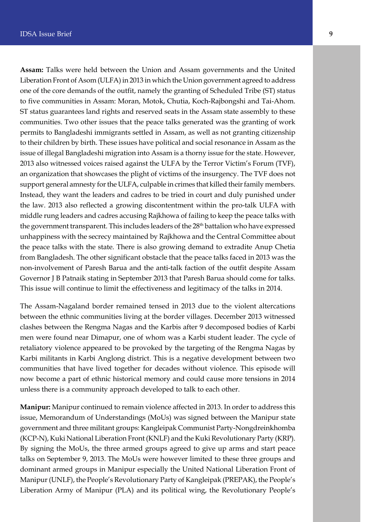**Assam:** Talks were held between the Union and Assam governments and the United Liberation Front of Asom (ULFA) in 2013 in which the Union government agreed to address one of the core demands of the outfit, namely the granting of Scheduled Tribe (ST) status to five communities in Assam: Moran, Motok, Chutia, Koch-Rajbongshi and Tai-Ahom. ST status guarantees land rights and reserved seats in the Assam state assembly to these communities. Two other issues that the peace talks generated was the granting of work permits to Bangladeshi immigrants settled in Assam, as well as not granting citizenship to their children by birth. These issues have political and social resonance in Assam as the issue of illegal Bangladeshi migration into Assam is a thorny issue for the state. However, 2013 also witnessed voices raised against the ULFA by the Terror Victim's Forum (TVF), an organization that showcases the plight of victims of the insurgency. The TVF does not support general amnesty for the ULFA, culpable in crimes that killed their family members. Instead, they want the leaders and cadres to be tried in court and duly punished under the law. 2013 also reflected a growing discontentment within the pro-talk ULFA with middle rung leaders and cadres accusing Rajkhowa of failing to keep the peace talks with the government transparent. This includes leaders of the 28<sup>th</sup> battalion who have expressed unhappiness with the secrecy maintained by Rajkhowa and the Central Committee about the peace talks with the state. There is also growing demand to extradite Anup Chetia from Bangladesh. The other significant obstacle that the peace talks faced in 2013 was the non-involvement of Paresh Barua and the anti-talk faction of the outfit despite Assam Governor J B Patnaik stating in September 2013 that Paresh Barua should come for talks. This issue will continue to limit the effectiveness and legitimacy of the talks in 2014.

The Assam-Nagaland border remained tensed in 2013 due to the violent altercations between the ethnic communities living at the border villages. December 2013 witnessed clashes between the Rengma Nagas and the Karbis after 9 decomposed bodies of Karbi men were found near Dimapur, one of whom was a Karbi student leader. The cycle of retaliatory violence appeared to be provoked by the targeting of the Rengma Nagas by Karbi militants in Karbi Anglong district. This is a negative development between two communities that have lived together for decades without violence. This episode will now become a part of ethnic historical memory and could cause more tensions in 2014 unless there is a community approach developed to talk to each other.

**Manipur:** Manipur continued to remain violence affected in 2013. In order to address this issue, Memorandum of Understandings (MoUs) was signed between the Manipur state government and three militant groups: Kangleipak Communist Party-Nongdreinkhomba (KCP-N), Kuki National Liberation Front (KNLF) and the Kuki Revolutionary Party (KRP). By signing the MoUs, the three armed groups agreed to give up arms and start peace talks on September 9, 2013. The MoUs were however limited to these three groups and dominant armed groups in Manipur especially the United National Liberation Front of Manipur (UNLF), the People's Revolutionary Party of Kangleipak (PREPAK), the People's Liberation Army of Manipur (PLA) and its political wing, the Revolutionary People's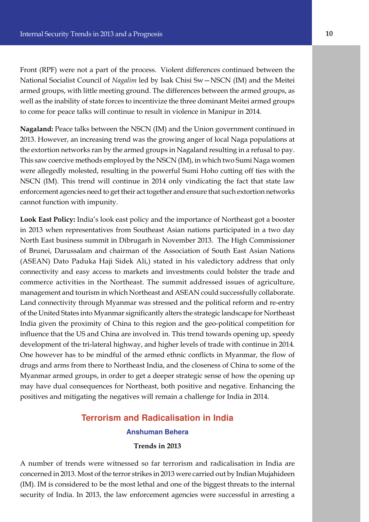Front (RPF) were not a part of the process. Violent differences continued between the National Socialist Council of *Nagalim* led by Isak Chisi Sw—NSCN (IM) and the Meitei armed groups, with little meeting ground. The differences between the armed groups, as well as the inability of state forces to incentivize the three dominant Meitei armed groups to come for peace talks will continue to result in violence in Manipur in 2014.

**Nagaland:** Peace talks between the NSCN (IM) and the Union government continued in 2013. However, an increasing trend was the growing anger of local Naga populations at the extortion networks ran by the armed groups in Nagaland resulting in a refusal to pay. This saw coercive methods employed by the NSCN (IM), in which two Sumi Naga women were allegedly molested, resulting in the powerful Sumi Hoho cutting off ties with the NSCN (IM). This trend will continue in 2014 only vindicating the fact that state law enforcement agencies need to get their act together and ensure that such extortion networks cannot function with impunity.

**Look East Policy:** India's look east policy and the importance of Northeast got a booster in 2013 when representatives from Southeast Asian nations participated in a two day North East business summit in Dibrugarh in November 2013. The High Commissioner of Brunei, Darussalam and chairman of the Association of South East Asian Nations (ASEAN) Dato Paduka Haji Sidek Ali,) stated in his valedictory address that only connectivity and easy access to markets and investments could bolster the trade and commerce activities in the Northeast. The summit addressed issues of agriculture, management and tourism in which Northeast and ASEAN could successfully collaborate. Land connectivity through Myanmar was stressed and the political reform and re-entry of the United States into Myanmar significantly alters the strategic landscape for Northeast India given the proximity of China to this region and the geo-political competition for influence that the US and China are involved in. This trend towards opening up, speedy development of the tri-lateral highway, and higher levels of trade with continue in 2014. One however has to be mindful of the armed ethnic conflicts in Myanmar, the flow of drugs and arms from there to Northeast India, and the closeness of China to some of the Myanmar armed groups, in order to get a deeper strategic sense of how the opening up may have dual consequences for Northeast, both positive and negative. Enhancing the positives and mitigating the negatives will remain a challenge for India in 2014.

# **Terrorism and Radicalisation in India Anshuman Behera**

#### **Trends in 2013**

A number of trends were witnessed so far terrorism and radicalisation in India are concerned in 2013. Most of the terror strikes in 2013 were carried out by Indian Mujahideen (IM). IM is considered to be the most lethal and one of the biggest threats to the internal security of India. In 2013, the law enforcement agencies were successful in arresting a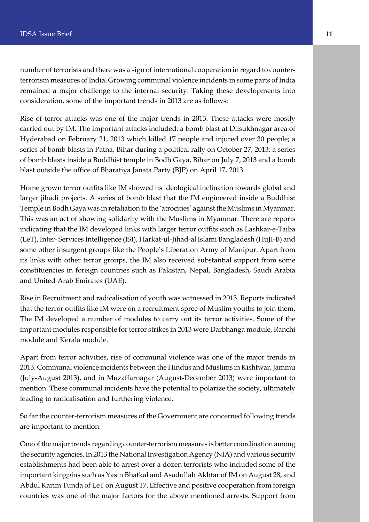number of terrorists and there was a sign of international cooperation in regard to counterterrorism measures of India. Growing communal violence incidents in some parts of India remained a major challenge to the internal security. Taking these developments into consideration, some of the important trends in 2013 are as follows:

Rise of terror attacks was one of the major trends in 2013. These attacks were mostly carried out by IM. The important attacks included: a bomb blast at Dilsukhnagar area of Hyderabad on February 21, 2013 which killed 17 people and injured over 30 people; a series of bomb blasts in Patna, Bihar during a political rally on October 27, 2013; a series of bomb blasts inside a Buddhist temple in Bodh Gaya, Bihar on July 7, 2013 and a bomb blast outside the office of Bharatiya Janata Party (BJP) on April 17, 2013.

Home grown terror outfits like IM showed its ideological inclination towards global and larger jihadi projects. A series of bomb blast that the IM engineered inside a Buddhist Temple in Bodh Gaya was in retaliation to the 'atrocities' against the Muslims in Myanmar. This was an act of showing solidarity with the Muslims in Myanmar. There are reports indicating that the IM developed links with larger terror outfits such as Lashkar-e-Taiba (LeT), Inter- Services Intelligence (ISI), Harkat-ul-Jihad-al Islami Bangladesh (HuJI-B) and some other insurgent groups like the People's Liberation Army of Manipur. Apart from its links with other terror groups, the IM also received substantial support from some constituencies in foreign countries such as Pakistan, Nepal, Bangladesh, Saudi Arabia and United Arab Emirates (UAE).

Rise in Recruitment and radicalisation of youth was witnessed in 2013. Reports indicated that the terror outfits like IM were on a recruitment spree of Muslim youths to join them. The IM developed a number of modules to carry out its terror activities. Some of the important modules responsible for terror strikes in 2013 were Darbhanga module, Ranchi module and Kerala module.

Apart from terror activities, rise of communal violence was one of the major trends in 2013. Communal violence incidents between the Hindus and Muslims in Kishtwar, Jammu (July-August 2013), and in Muzaffarnagar (August-December 2013) were important to mention. These communal incidents have the potential to polarize the society, ultimately leading to radicalisation and furthering violence.

So far the counter-terrorism measures of the Government are concerned following trends are important to mention.

One of the major trends regarding counter-terrorism measures is better coordination among the security agencies. In 2013 the National Investigation Agency (NIA) and various security establishments had been able to arrest over a dozen terrorists who included some of the important kingpins such as Yasin Bhatkal and Asadullah Akhtar of IM on August 28, and Abdul Karim Tunda of LeT on August 17. Effective and positive cooperation from foreign countries was one of the major factors for the above mentioned arrests. Support from